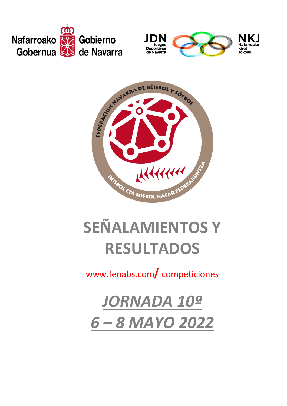





# **SEÑALAMIENTOS Y RESULTADOS**

### www.fenabs.com**/**competiciones

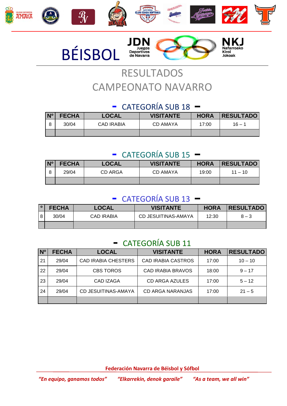







## RESULTADOS CAMPEONATO NAVARRO

#### - CATEGORÍA SUB 18 –

| N <sup>o</sup> | <b>FECHA</b> | <b>LOCAL</b>      | <b>VISITANTE</b> | <b>HORA</b> | <b>RESULTADO</b> |
|----------------|--------------|-------------------|------------------|-------------|------------------|
| 8              | 30/04        | <b>CAD IRABIA</b> | CD AMAYA         | 17:00       | $16 - 1$         |
|                |              |                   |                  |             |                  |

#### - CATEGORÍA SUB 15 –

| N <sup>o</sup> | <b>FECHA</b> | <b>LOCAL</b> | <b>VISITANTE</b> | <b>HORA</b> | <b>RESULTADO</b> |
|----------------|--------------|--------------|------------------|-------------|------------------|
|                | 29/04        | CD ARGA      | CD AMAYA         | 19:00       | $11 - 10$        |
|                |              |              |                  |             |                  |

#### - CATEGORÍA SUB 13 –

| <b>FECHA</b> | LOCAL             | <b>VISITANTE</b>    | <b>HORA</b> | <b>RESULTADO</b> |
|--------------|-------------------|---------------------|-------------|------------------|
| 30/04        | <b>CAD IRABIA</b> | CD JESUITINAS-AMAYA | 12:30       | $8 - 3$          |
|              |                   |                     |             |                  |

#### - CATEGORÍA SUB 11

| N <sup>o</sup> | <b>FECHA</b> | <b>LOCAL</b>               | <b>VISITANTE</b>          | <b>HORA</b> | <b>RESULTADO</b> |
|----------------|--------------|----------------------------|---------------------------|-------------|------------------|
| 21             | 29/04        | <b>CAD IRABIA CHESTERS</b> | <b>CAD IRABIA CASTROS</b> | 17:00       | $10 - 10$        |
| 22             | 29/04        | <b>CBS TOROS</b>           | <b>CAD IRABIA BRAVOS</b>  | 18:00       | $9 - 17$         |
| 23             | 29/04        | <b>CAD IZAGA</b>           | <b>CD ARGA AZULES</b>     | 17:00       | $5 - 12$         |
| 24             | 29/04        | <b>CD JESUITINAS-AMAYA</b> | CD ARGA NARANJAS          | 17:00       | $21 - 5$         |
|                |              |                            |                           |             |                  |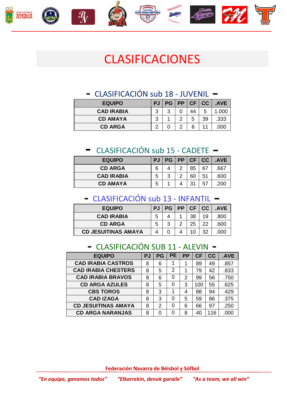









# CLASIFICACIONES

#### - CLASIFICACIÓN sub 18 - JUVENIL –

| <b>EQUIPO</b>     |   | PJ   PG   PP   CF   CC |   |    | .AVE |
|-------------------|---|------------------------|---|----|------|
| <b>CAD IRABIA</b> | ર | ્ર                     |   |    | .000 |
| <b>CD AMAYA</b>   | ว |                        | 5 | 39 | .333 |
| <b>CD ARGA</b>    |   |                        |   |    |      |

#### - CLASIFICACIÓN sub 15 - CADETE –

| <b>EQUIPO</b>     | <b>PJ</b> |   |     | PG PP CF CC | .AVE |
|-------------------|-----------|---|-----|-------------|------|
| <b>CD ARGA</b>    |           | っ | 85  | 67          | .667 |
| <b>CAD IRABIA</b> | 5         | ာ | 60  | 51          | .600 |
| <b>CD AMAYA</b>   | 5         |   | -21 | -57         | .200 |

#### - CLASIFICACIÓN sub 13 - INFANTIL –

| <b>EQUIPO</b>              | PJ   PG   PP   CF   CC |   |    |    | .AVE |
|----------------------------|------------------------|---|----|----|------|
| <b>CAD IRABIA</b>          |                        |   | 38 | 19 | .800 |
| <b>CD ARGA</b>             | າ                      | າ | 25 | 22 | .600 |
| <b>CD JESUITINAS AMAYA</b> |                        |   |    |    |      |

#### - CLASIFICACIÓN SUB 11 - ALEVIN -

| <b>EQUIPO</b>              | PJ | <b>PG</b> | <b>PE</b> | <b>PP</b> | <b>CF</b> | cc  | .AVE |
|----------------------------|----|-----------|-----------|-----------|-----------|-----|------|
| <b>CAD IRABIA CASTROS</b>  | 8  | 6         |           |           | 89        | 49  | .857 |
| <b>CAD IRABIA CHESTERS</b> | 8  | 5         | 2         |           | 79        | 42  | .833 |
| <b>CAD IRABIA BRAVOS</b>   | 8  | 6         | 0         | 2         | 99        | 56  | .750 |
| <b>CD ARGA AZULES</b>      | 8  | 5         | 0         | 3         | 100       | 55  | .625 |
| <b>CBS TOROS</b>           | 8  | 3         | 1         | 4         | 88        | 94  | .429 |
| <b>CAD IZAGA</b>           | 8  | 3         | Ω         | 5         | 59        | 86  | .375 |
| <b>CD JESUITINAS AMAYA</b> | 8  | 2         | ი         | 6         | 66        | 97  | .250 |
| <b>CD ARGA NARANJAS</b>    | 8  | U         | O         | 8         | 40        | 116 | .000 |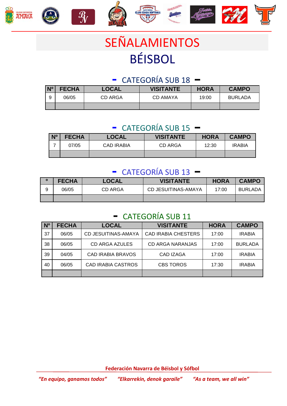

# SEÑALAMIENTOS BÉISBOL

#### - CATEGORÍA SUB 18 –

| $N^{\circ}$ | <b>FECHA</b> | LOCAL   | <b>VISITANTE</b> | <b>HORA</b> | <b>CAMPO</b>   |
|-------------|--------------|---------|------------------|-------------|----------------|
| 9           | 06/05        | CD ARGA | CD AMAYA         | 19:00       | <b>BURLADA</b> |
|             |              |         |                  |             |                |

#### - CATEGORÍA SUB 15 –

| N <sup>o</sup> | <b>FECHA</b> | <b>LOCAL</b> | <b>VISITANTE</b> | <b>HORA</b> | <b>CAMPO</b>  |
|----------------|--------------|--------------|------------------|-------------|---------------|
|                | 07/05        | CAD IRABIA   | CD ARGA          | 12:30       | <b>IRABIA</b> |
|                |              |              |                  |             |               |

#### - CATEGORÍA SUB 13 –

|   | <b>FECHA</b> | <b>LOCAL</b> | <b>VISITANTE</b>    | <b>HORA</b> | <b>CAMPO</b> |
|---|--------------|--------------|---------------------|-------------|--------------|
| 9 | 06/05        | CD ARGA      | CD JESUITINAS-AMAYA | 17:00       | BURLADA      |
|   |              |              |                     |             |              |

#### - CATEGORÍA SUB 11

| N <sub>o</sub> | <b>FECHA</b> | <b>LOCAL</b>               | <b>VISITANTE</b>           | <b>HORA</b> | <b>CAMPO</b>   |
|----------------|--------------|----------------------------|----------------------------|-------------|----------------|
| 37             | 06/05        | <b>CD JESUITINAS-AMAYA</b> | <b>CAD IRABIA CHESTERS</b> | 17:00       | <b>IRABIA</b>  |
| 38             | 06/05        | CD ARGA AZULES             | <b>CD ARGA NARANJAS</b>    | 17:00       | <b>BURLADA</b> |
| 39             | 04/05        | <b>CAD IRABIA BRAVOS</b>   | <b>CAD IZAGA</b>           | 17:00       | <b>IRABIA</b>  |
| 40             | 06/05        | <b>CAD IRABIA CASTROS</b>  | <b>CBS TOROS</b>           | 17:30       | <b>IRABIA</b>  |
|                |              |                            |                            |             |                |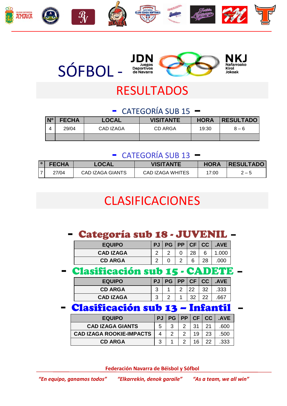



# RESULTADOS

#### - CATEGORÍA SUB 15 –

| $N^{\circ}$ | <b>FECHA</b> | <b>LOCAL</b> | <b>VISITANTE</b> | <b>HORA</b> | <b>RESULTADO</b> |
|-------------|--------------|--------------|------------------|-------------|------------------|
|             | 29/04        | CAD IZAGA    | CD ARGA          | 19:30       | $8 - 6$          |
|             |              |              |                  |             |                  |

#### - CATEGORÍA SUB 13 –

| 1 O I | <b>FECHA</b> | <b>LOCAL</b>     | <b>VISITANTE</b> | <b>HORA</b> | <b>RESULTADO</b> |
|-------|--------------|------------------|------------------|-------------|------------------|
|       | 27/04        | CAD IZAGA GIANTS | CAD IZAGA WHITES | 17:00       | $2 - 5$          |

# CLASIFICACIONES

|  | - Categoría sub 18 - JUVENIL - |  |  |  |  |  |
|--|--------------------------------|--|--|--|--|--|
|--|--------------------------------|--|--|--|--|--|

| <b>EQUIPO</b>    | PJ | <b>PG</b> |   | PP CF CC | <b>AVE</b> |
|------------------|----|-----------|---|----------|------------|
| <b>CAD IZAGA</b> | ⌒  |           |   | 28       | .000       |
| <b>CD ARGA</b>   | ⌒  |           | ⌒ | ี        | .000       |

- Clasificación sub 15 - CADETE –

| <b>EQUIPO</b>    | <b>PJ</b> |  |    | PG   PP   CF   CC | <b>AVE</b> |
|------------------|-----------|--|----|-------------------|------------|
| <b>CD ARGA</b>   | ⌒         |  | 22 | າາ                | .333       |
| <b>CAD IZAGA</b> | ◠<br>د    |  |    |                   | .667       |

- Clasificación sub 13 – Infantil –

| <b>EQUIPO</b>                   | PJ I |   | PG   PP   CF   CC |    | .AVE |
|---------------------------------|------|---|-------------------|----|------|
| <b>CAD IZAGA GIANTS</b>         |      | વ | 31                |    | .600 |
| <b>CAD IZAGA ROOKIE-IMPACTS</b> |      |   | 19                | 23 | .500 |
| <b>CD ARGA</b>                  |      |   | 16                |    | .333 |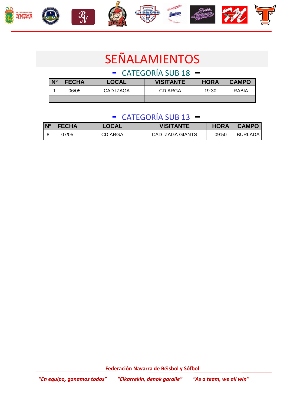







# SEÑALAMIENTOS

- CATEGORÍA SUB 18 –

| N <sup>o</sup> | <b>FECHA</b> | <b>LOCAL</b> | <b>VISITANTE</b> | <b>HORA</b> | <b>CAMPO</b>  |
|----------------|--------------|--------------|------------------|-------------|---------------|
|                | 06/05        | CAD IZAGA    | CD ARGA          | 19:30       | <b>IRABIA</b> |
|                |              |              |                  |             |               |

#### - CATEGORÍA SUB 13 –

| $N^{\circ}$ | <b>FECHA</b> | <b>LOCAL</b> | <b>VISITANTE</b> | <b>HORA</b> | <b>CAMPO</b>   |
|-------------|--------------|--------------|------------------|-------------|----------------|
|             | 07/05        | CD ARGA      | CAD IZAGA GIANTS | 09:50       | <b>BURLADA</b> |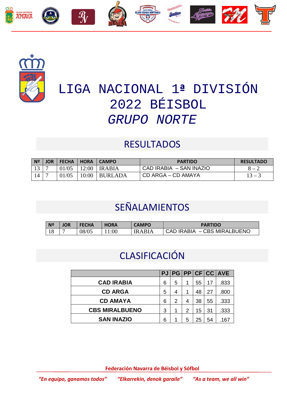



# LIGA NACIONAL 1**ª** DIVISIÓN 2022 BÉISBOL *GRUPO NORTE*

#### **RESULTADOS**

| N <sup>2</sup>  | <b>JOR</b> | <b>FECHA</b> | <b>HORA</b> | <b>CAMPO</b>   | <b>PARTIDO</b>          | <b>RESULTADO</b> |
|-----------------|------------|--------------|-------------|----------------|-------------------------|------------------|
| 13              |            | 01/05        | 12:00       | <b>IRABIA</b>  | CAD IRABIA - SAN INAZIO | $8 - 2$          |
| $\overline{14}$ |            | 01/05        | 10:00       | <b>BURLADA</b> | CD ARGA – CD AMAYA      | $13 - 3$         |

### SEÑALAMIENTOS

| N <sup>o</sup> | JOR | <b>FECHA</b> | <b>HORA</b> | <b>CAMPO</b> | <b>PARTIDO</b>              |
|----------------|-----|--------------|-------------|--------------|-----------------------------|
| 18             |     | 08/05        | :00         | IR A RI A    | CAD IRABIA - CBS MIRALBUENO |

### CLASIFICACIÓN

| 6 | 5 | 1 | 55 | 17 | .833                         |
|---|---|---|----|----|------------------------------|
| 5 | 4 | 1 | 48 | 27 | .800                         |
| 6 | 2 | 4 | 38 | 55 | .333                         |
| 3 | 1 | 2 | 15 | 31 | .333                         |
| 6 | 1 | 5 | 25 | 54 | .167                         |
|   |   |   |    |    | PJ   PG   PP   CF   CC   AVE |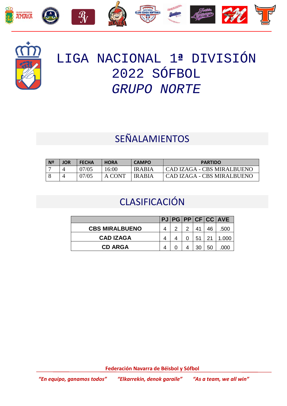



# LIGA NACIONAL 1**ª** DIVISIÓN 2022 SÓFBOL *GRUPO NORTE*

### SEÑALAMIENTOS

| N <sup>2</sup> | <b>JOR</b> | <b>FECHA</b> | <b>HORA</b> | <b>CAMPO</b>  | <b>PARTIDO</b>             |
|----------------|------------|--------------|-------------|---------------|----------------------------|
|                |            | 07/05        | 6:00        | <b>IRABIA</b> | CAD IZAGA - CBS MIRALBUENO |
|                |            | 07/05        | A CONT      | <b>IRABIA</b> | CAD IZAGA - CBS MIRALBUENO |

### CLASIFICACIÓN

|                       |  |    |    | PJ   PG   PP   CF   CC   AVE |
|-----------------------|--|----|----|------------------------------|
| <b>CBS MIRALBUENO</b> |  |    |    | .500                         |
| <b>CAD IZAGA</b>      |  | 51 |    | .000                         |
| <b>CD ARGA</b>        |  | 30 | 50 |                              |